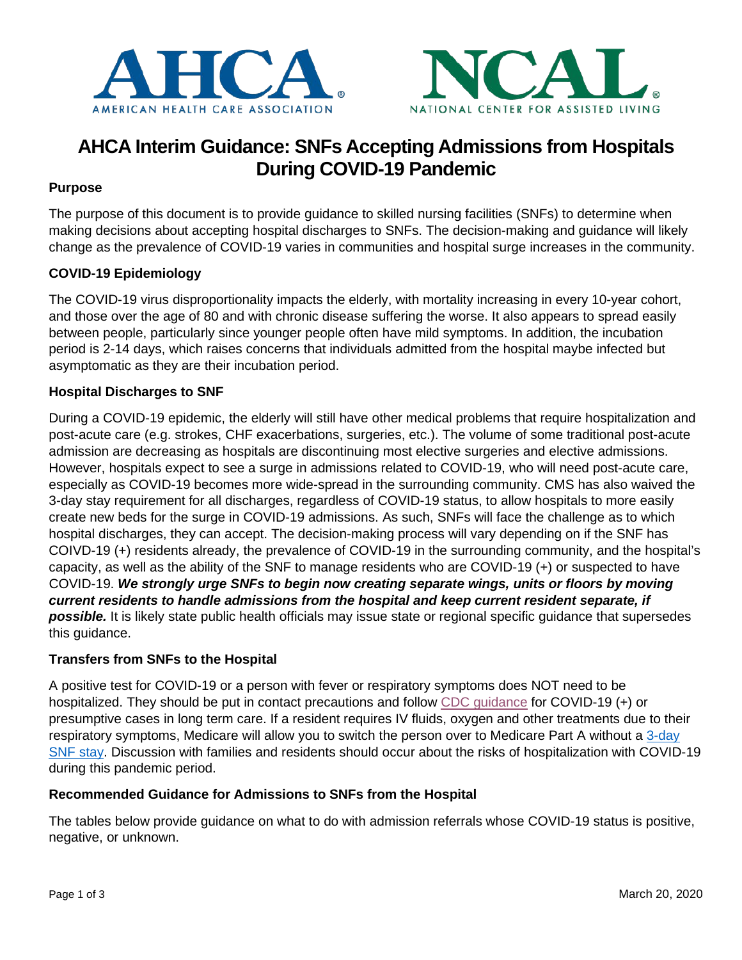



# **AHCA Interim Guidance: SNFs Accepting Admissions from Hospitals During COVID-19 Pandemic**

## **Purpose**

The purpose of this document is to provide guidance to skilled nursing facilities (SNFs) to determine when making decisions about accepting hospital discharges to SNFs. The decision-making and guidance will likely change as the prevalence of COVID-19 varies in communities and hospital surge increases in the community.

## **COVID-19 Epidemiology**

The COVID-19 virus disproportionality impacts the elderly, with mortality increasing in every 10-year cohort, and those over the age of 80 and with chronic disease suffering the worse. It also appears to spread easily between people, particularly since younger people often have mild symptoms. In addition, the incubation period is 2-14 days, which raises concerns that individuals admitted from the hospital maybe infected but asymptomatic as they are their incubation period.

### **Hospital Discharges to SNF**

During a COVID-19 epidemic, the elderly will still have other medical problems that require hospitalization and post-acute care (e.g. strokes, CHF exacerbations, surgeries, etc.). The volume of some traditional post-acute admission are decreasing as hospitals are discontinuing most elective surgeries and elective admissions. However, hospitals expect to see a surge in admissions related to COVID-19, who will need post-acute care, especially as COVID-19 becomes more wide-spread in the surrounding community. CMS has also waived the 3-day stay requirement for all discharges, regardless of COVID-19 status, to allow hospitals to more easily create new beds for the surge in COVID-19 admissions. As such, SNFs will face the challenge as to which hospital discharges, they can accept. The decision-making process will vary depending on if the SNF has COIVD-19 (+) residents already, the prevalence of COVID-19 in the surrounding community, and the hospital's capacity, as well as the ability of the SNF to manage residents who are COVID-19 (+) or suspected to have COVID-19. *We strongly urge SNFs to begin now creating separate wings, units or floors by moving current residents to handle admissions from the hospital and keep current resident separate, if possible.* It is likely state public health officials may issue state or regional specific guidance that supersedes this guidance.

### **Transfers from SNFs to the Hospital**

A positive test for COVID-19 or a person with fever or respiratory symptoms does NOT need to be hospitalized. They should be put in contact precautions and follow [CDC guidance](https://www.cdc.gov/coronavirus/2019-ncov/healthcare-facilities/prevent-spread-in-long-term-care-facilities.html#interim-guidancehttps://www.cdc.gov/coronavirus/2019-ncov/healthcare-facilities/prevent-spread-in-long-term-care-facilities.html) for COVID-19 (+) or presumptive cases in long term care. If a resident requires IV fluids, oxygen and other treatments due to their respiratory symptoms, Medicare will allow you to switch the person over to Medicare Part A without a [3-day](https://www.ahcancal.org/facility_operations/disaster_planning/Documents/COVID-19%20%E2%80%93%20Update%2010.pdf) [SNF stay.](https://www.ahcancal.org/facility_operations/disaster_planning/Documents/COVID-19%20%E2%80%93%20Update%2010.pdf) Discussion with families and residents should occur about the risks of hospitalization with COVID-19 during this pandemic period.

### **Recommended Guidance for Admissions to SNFs from the Hospital**

The tables below provide guidance on what to do with admission referrals whose COVID-19 status is positive, negative, or unknown.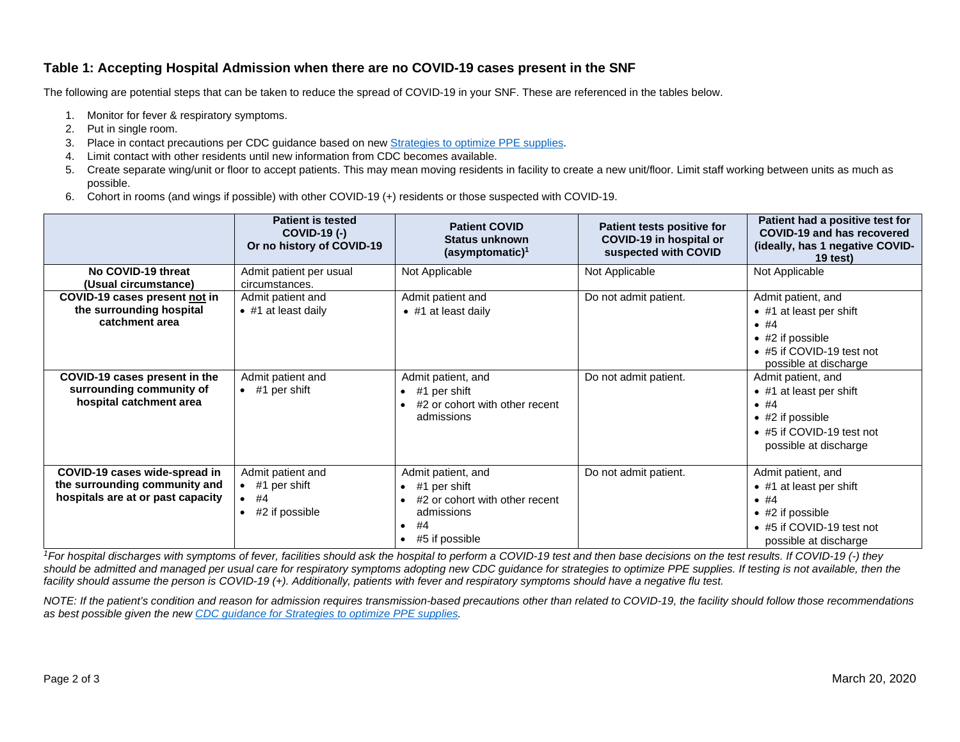#### **Table 1: Accepting Hospital Admission when there are no COVID-19 cases present in the SNF**

The following are potential steps that can be taken to reduce the spread of COVID-19 in your SNF. These are referenced in the tables below.

- 1. Monitor for fever & respiratory symptoms.
- 2. Put in single room.
- 3. Place in contact precautions per CDC guidance based on new **Strategies to optimize PPE supplies**.
- 4. Limit contact with other residents until new information from CDC becomes available.
- 5. Create separate wing/unit or floor to accept patients. This may mean moving residents in facility to create a new unit/floor. Limit staff working between units as much as possible.
- 6. Cohort in rooms (and wings if possible) with other COVID-19 (+) residents or those suspected with COVID-19.

|                                                                                                     | <b>Patient is tested</b><br><b>COVID-19 (-)</b><br>Or no history of COVID-19  | <b>Patient COVID</b><br>Status unknown<br>$(asymptomatic)^1$                                                                                                   | Patient tests positive for<br>COVID-19 in hospital or<br>suspected with COVID | Patient had a positive test for<br>COVID-19 and has recovered<br>(ideally, has 1 negative COVID-<br>$19$ test)                                   |
|-----------------------------------------------------------------------------------------------------|-------------------------------------------------------------------------------|----------------------------------------------------------------------------------------------------------------------------------------------------------------|-------------------------------------------------------------------------------|--------------------------------------------------------------------------------------------------------------------------------------------------|
| No COVID-19 threat<br>(Usual circumstance)                                                          | Admit patient per usual<br>circumstances.                                     | Not Applicable                                                                                                                                                 | Not Applicable                                                                | Not Applicable                                                                                                                                   |
| COVID-19 cases present not in<br>the surrounding hospital<br>catchment area                         | Admit patient and<br>$\bullet$ #1 at least daily                              | Admit patient and<br>$\bullet$ #1 at least daily                                                                                                               | Do not admit patient.                                                         | Admit patient, and<br>$\bullet$ #1 at least per shift<br>•  #4<br>$\bullet$ #2 if possible<br>• #5 if COVID-19 test not<br>possible at discharge |
| COVID-19 cases present in the<br>surrounding community of<br>hospital catchment area                | Admit patient and<br>$\bullet$ #1 per shift                                   | Admit patient, and<br>#1 per shift<br>$\bullet$<br>#2 or cohort with other recent<br>admissions                                                                | Do not admit patient.                                                         | Admit patient, and<br>• #1 at least per shift<br>•  #4<br>$\bullet$ #2 if possible<br>$\bullet$ #5 if COVID-19 test not<br>possible at discharge |
| COVID-19 cases wide-spread in<br>the surrounding community and<br>hospitals are at or past capacity | Admit patient and<br>$\bullet$ #1 per shift<br>$\bullet$ #4<br>#2 if possible | Admit patient, and<br>#1 per shift<br>$\bullet$<br>#2 or cohort with other recent<br>$\bullet$<br>admissions<br>#4<br>$\bullet$<br>#5 if possible<br>$\bullet$ | Do not admit patient.                                                         | Admit patient, and<br>$\bullet$ #1 at least per shift<br>•  #4<br>$\bullet$ #2 if possible<br>• #5 if COVID-19 test not<br>possible at discharge |

*1For hospital discharges with symptoms of fever, facilities should ask the hospital to perform a COVID-19 test and then base decisions on the test results. If COVID-19 (-) they*  should be admitted and managed per usual care for respiratory symptoms adopting new CDC guidance for strategies to optimize PPE supplies. If testing is not available, then the *facility should assume the person is COVID-19 (+). Additionally, patients with fever and respiratory symptoms should have a negative flu test.*

*NOTE: If the patient's condition and reason for admission requires transmission-based precautions other than related to COVID-19, the facility should follow those recommendations as best possible given the new CDC guidance [for Strategies to optimize PPE supplies.](https://www.cdc.gov/coronavirus/2019-ncov/hcp/ppe-strategy/index.html)*